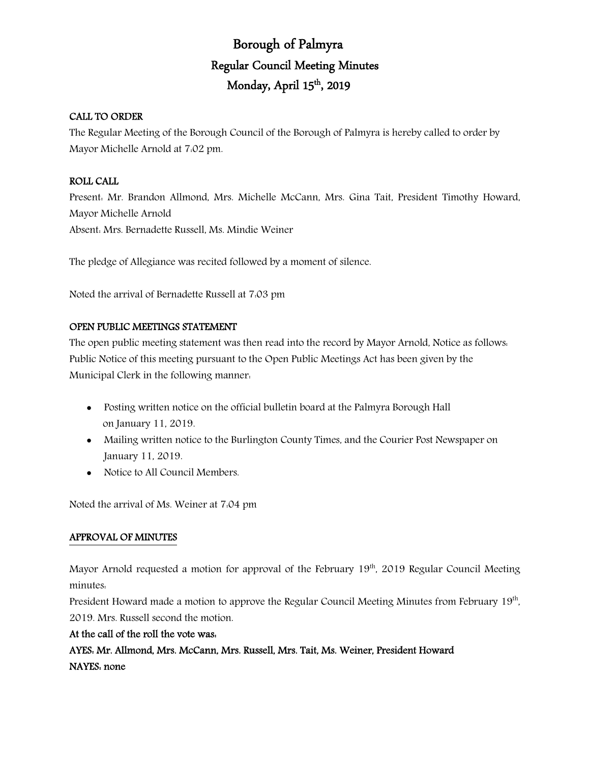# Borough of Palmyra Regular Council Meeting Minutes Monday, April 15<sup>th</sup>, 2019

## CALL TO ORDER

The Regular Meeting of the Borough Council of the Borough of Palmyra is hereby called to order by Mayor Michelle Arnold at 7:02 pm.

## ROLL CALL

Present: Mr. Brandon Allmond, Mrs. Michelle McCann, Mrs. Gina Tait, President Timothy Howard, Mayor Michelle Arnold Absent: Mrs. Bernadette Russell, Ms. Mindie Weiner

The pledge of Allegiance was recited followed by a moment of silence.

Noted the arrival of Bernadette Russell at 7:03 pm

### OPEN PUBLIC MEETINGS STATEMENT

The open public meeting statement was then read into the record by Mayor Arnold, Notice as follows: Public Notice of this meeting pursuant to the Open Public Meetings Act has been given by the Municipal Clerk in the following manner:

- Posting written notice on the official bulletin board at the Palmyra Borough Hall on January 11, 2019.
- Mailing written notice to the Burlington County Times, and the Courier Post Newspaper on January 11, 2019.
- Notice to All Council Members.

Noted the arrival of Ms. Weiner at 7:04 pm

## APPROVAL OF MINUTES

Mayor Arnold requested a motion for approval of the February  $19<sup>th</sup>$ , 2019 Regular Council Meeting minutes:

President Howard made a motion to approve the Regular Council Meeting Minutes from February 19<sup>th</sup>, 2019. Mrs. Russell second the motion.

### At the call of the roll the vote was:

AYES: Mr. Allmond, Mrs. McCann, Mrs. Russell, Mrs. Tait, Ms. Weiner, President Howard NAYES: none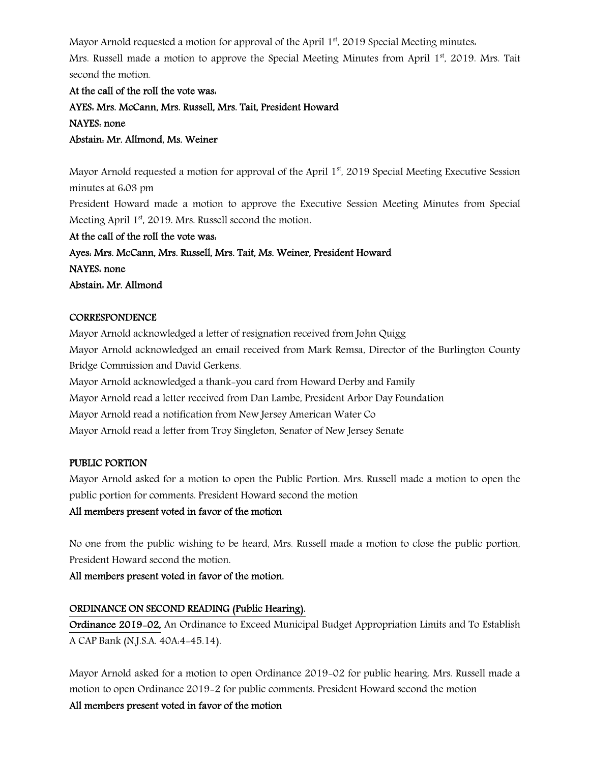Mayor Arnold requested a motion for approval of the April  $1<sup>st</sup>$ , 2019 Special Meeting minutes.

Mrs. Russell made a motion to approve the Special Meeting Minutes from April 1<sup>st</sup>, 2019. Mrs. Tait second the motion.

At the call of the roll the vote was: AYES: Mrs. McCann, Mrs. Russell, Mrs. Tait, President Howard NAYES: none Abstain: Mr. Allmond, Ms. Weiner

Mayor Arnold requested a motion for approval of the April  $1<sup>st</sup>$ , 2019 Special Meeting Executive Session minutes at 6:03 pm

President Howard made a motion to approve the Executive Session Meeting Minutes from Special Meeting April 1<sup>st</sup>, 2019. Mrs. Russell second the motion.

At the call of the roll the vote was: Ayes: Mrs. McCann, Mrs. Russell, Mrs. Tait, Ms. Weiner, President Howard NAYES: none Abstain: Mr. Allmond

### **CORRESPONDENCE**

Mayor Arnold acknowledged a letter of resignation received from John Quigg Mayor Arnold acknowledged an email received from Mark Remsa, Director of the Burlington County Bridge Commission and David Gerkens. Mayor Arnold acknowledged a thank-you card from Howard Derby and Family Mayor Arnold read a letter received from Dan Lambe, President Arbor Day Foundation Mayor Arnold read a notification from New Jersey American Water Co Mayor Arnold read a letter from Troy Singleton, Senator of New Jersey Senate

## PUBLIC PORTION

Mayor Arnold asked for a motion to open the Public Portion. Mrs. Russell made a motion to open the public portion for comments. President Howard second the motion

### All members present voted in favor of the motion

No one from the public wishing to be heard, Mrs. Russell made a motion to close the public portion, President Howard second the motion.

All members present voted in favor of the motion.

## ORDINANCE ON SECOND READING (Public Hearing).

Ordinance 2019-02, An Ordinance to Exceed Municipal Budget Appropriation Limits and To Establish A CAP Bank (N.J.S.A. 40A:4-45.14).

Mayor Arnold asked for a motion to open Ordinance 2019-02 for public hearing. Mrs. Russell made a motion to open Ordinance 2019-2 for public comments. President Howard second the motion All members present voted in favor of the motion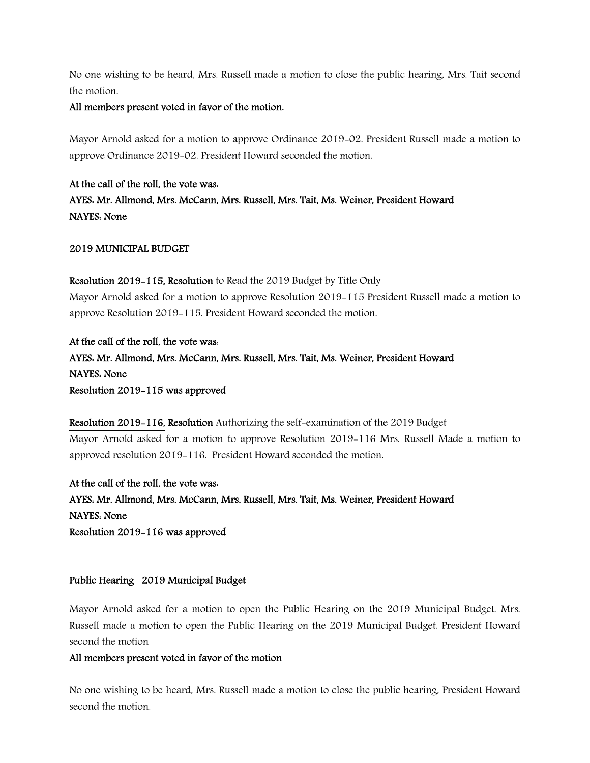No one wishing to be heard, Mrs. Russell made a motion to close the public hearing, Mrs. Tait second the motion.

### All members present voted in favor of the motion.

Mayor Arnold asked for a motion to approve Ordinance 2019-02. President Russell made a motion to approve Ordinance 2019-02. President Howard seconded the motion.

At the call of the roll, the vote was: AYES: Mr. Allmond, Mrs. McCann, Mrs. Russell, Mrs. Tait, Ms. Weiner, President Howard NAYES: None

### 2019 MUNICIPAL BUDGET

### Resolution 2019-115, Resolution to Read the 2019 Budget by Title Only

Mayor Arnold asked for a motion to approve Resolution 2019-115 President Russell made a motion to approve Resolution 2019-115. President Howard seconded the motion.

At the call of the roll, the vote was: AYES: Mr. Allmond, Mrs. McCann, Mrs. Russell, Mrs. Tait, Ms. Weiner, President Howard NAYES: None Resolution 2019-115 was approved

## Resolution 2019-116, Resolution Authorizing the self-examination of the 2019 Budget Mayor Arnold asked for a motion to approve Resolution 2019-116 Mrs. Russell Made a motion to approved resolution 2019-116. President Howard seconded the motion.

At the call of the roll, the vote was: AYES: Mr. Allmond, Mrs. McCann, Mrs. Russell, Mrs. Tait, Ms. Weiner, President Howard NAYES: None Resolution 2019-116 was approved

## Public Hearing 2019 Municipal Budget

Mayor Arnold asked for a motion to open the Public Hearing on the 2019 Municipal Budget. Mrs. Russell made a motion to open the Public Hearing on the 2019 Municipal Budget. President Howard second the motion

### All members present voted in favor of the motion

No one wishing to be heard, Mrs. Russell made a motion to close the public hearing, President Howard second the motion.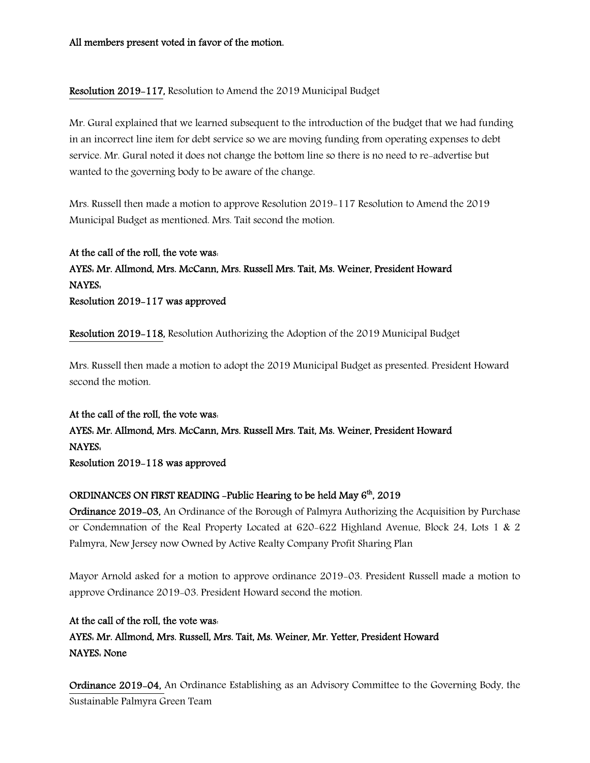## Resolution 2019-117, Resolution to Amend the 2019 Municipal Budget

Mr. Gural explained that we learned subsequent to the introduction of the budget that we had funding in an incorrect line item for debt service so we are moving funding from operating expenses to debt service. Mr. Gural noted it does not change the bottom line so there is no need to re-advertise but wanted to the governing body to be aware of the change.

Mrs. Russell then made a motion to approve Resolution 2019-117 Resolution to Amend the 2019 Municipal Budget as mentioned. Mrs. Tait second the motion.

At the call of the roll, the vote was: AYES: Mr. Allmond, Mrs. McCann, Mrs. Russell Mrs. Tait, Ms. Weiner, President Howard NAYES: Resolution 2019-117 was approved

Resolution 2019-118, Resolution Authorizing the Adoption of the 2019 Municipal Budget

Mrs. Russell then made a motion to adopt the 2019 Municipal Budget as presented. President Howard second the motion.

At the call of the roll, the vote was: AYES: Mr. Allmond, Mrs. McCann, Mrs. Russell Mrs. Tait, Ms. Weiner, President Howard NAYES: Resolution 2019-118 was approved

### ORDINANCES ON FIRST READING -Public Hearing to be held May  $6<sup>th</sup>$ , 2019

Ordinance 2019-03, An Ordinance of the Borough of Palmyra Authorizing the Acquisition by Purchase or Condemnation of the Real Property Located at 620-622 Highland Avenue, Block 24, Lots 1 & 2 Palmyra, New Jersey now Owned by Active Realty Company Profit Sharing Plan

Mayor Arnold asked for a motion to approve ordinance 2019-03. President Russell made a motion to approve Ordinance 2019-03. President Howard second the motion.

At the call of the roll, the vote was: AYES: Mr. Allmond, Mrs. Russell, Mrs. Tait, Ms. Weiner, Mr. Yetter, President Howard NAYES: None

Ordinance 2019-04, An Ordinance Establishing as an Advisory Committee to the Governing Body, the Sustainable Palmyra Green Team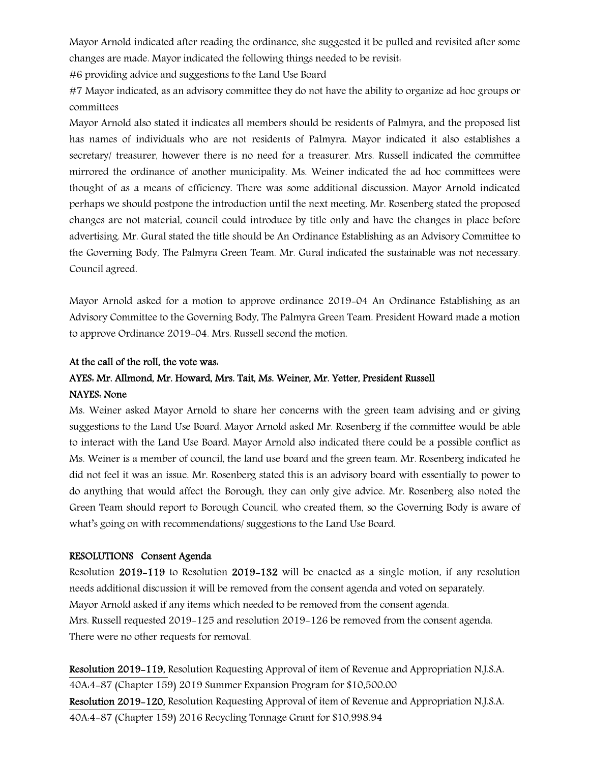Mayor Arnold indicated after reading the ordinance, she suggested it be pulled and revisited after some changes are made. Mayor indicated the following things needed to be revisit:

#6 providing advice and suggestions to the Land Use Board

#7 Mayor indicated, as an advisory committee they do not have the ability to organize ad hoc groups or committees

Mayor Arnold also stated it indicates all members should be residents of Palmyra, and the proposed list has names of individuals who are not residents of Palmyra. Mayor indicated it also establishes a secretary/ treasurer, however there is no need for a treasurer. Mrs. Russell indicated the committee mirrored the ordinance of another municipality. Ms. Weiner indicated the ad hoc committees were thought of as a means of efficiency. There was some additional discussion. Mayor Arnold indicated perhaps we should postpone the introduction until the next meeting. Mr. Rosenberg stated the proposed changes are not material, council could introduce by title only and have the changes in place before advertising. Mr. Gural stated the title should be An Ordinance Establishing as an Advisory Committee to the Governing Body, The Palmyra Green Team. Mr. Gural indicated the sustainable was not necessary. Council agreed.

Mayor Arnold asked for a motion to approve ordinance 2019-04 An Ordinance Establishing as an Advisory Committee to the Governing Body, The Palmyra Green Team. President Howard made a motion to approve Ordinance 2019-04. Mrs. Russell second the motion.

### At the call of the roll, the vote was:

## AYES: Mr. Allmond, Mr. Howard, Mrs. Tait, Ms. Weiner, Mr. Yetter, President Russell

### NAYES: None

Ms. Weiner asked Mayor Arnold to share her concerns with the green team advising and or giving suggestions to the Land Use Board. Mayor Arnold asked Mr. Rosenberg if the committee would be able to interact with the Land Use Board. Mayor Arnold also indicated there could be a possible conflict as Ms. Weiner is a member of council, the land use board and the green team. Mr. Rosenberg indicated he did not feel it was an issue. Mr. Rosenberg stated this is an advisory board with essentially to power to do anything that would affect the Borough, they can only give advice. Mr. Rosenberg also noted the Green Team should report to Borough Council, who created them, so the Governing Body is aware of what's going on with recommendations/ suggestions to the Land Use Board.

### RESOLUTIONS Consent Agenda

Resolution 2019-119 to Resolution 2019-132 will be enacted as a single motion, if any resolution needs additional discussion it will be removed from the consent agenda and voted on separately. Mayor Arnold asked if any items which needed to be removed from the consent agenda. Mrs. Russell requested 2019-125 and resolution 2019-126 be removed from the consent agenda. There were no other requests for removal.

Resolution 2019-119, Resolution Requesting Approval of item of Revenue and Appropriation N.J.S.A. 40A:4-87 (Chapter 159) 2019 Summer Expansion Program for \$10,500.00 Resolution 2019-120, Resolution Requesting Approval of item of Revenue and Appropriation N.J.S.A. 40A:4-87 (Chapter 159) 2016 Recycling Tonnage Grant for \$10,998.94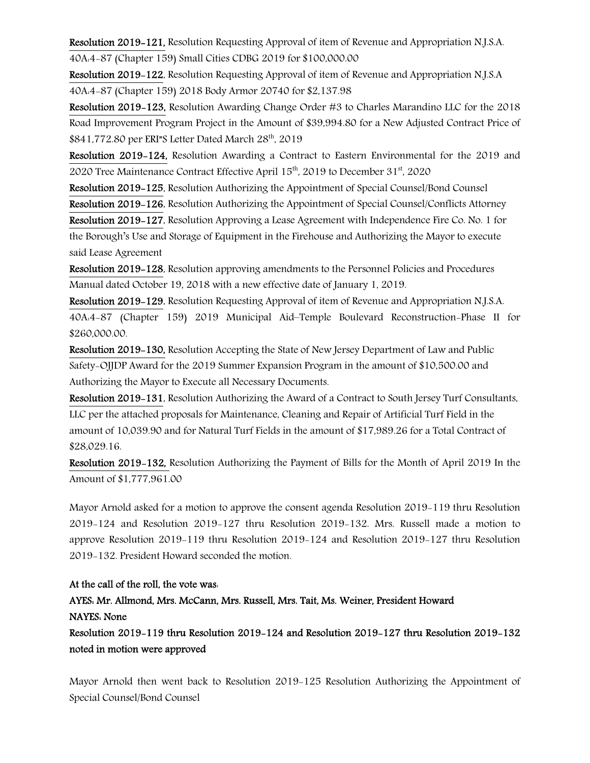Resolution 2019-121, Resolution Requesting Approval of item of Revenue and Appropriation N.J.S.A. 40A:4-87 (Chapter 159) Small Cities CDBG 2019 for \$100,000.00

Resolution 2019-122, Resolution Requesting Approval of item of Revenue and Appropriation N.J.S.A 40A:4-87 (Chapter 159) 2018 Body Armor 20740 for \$2,137.98

Resolution 2019-123, Resolution Awarding Change Order #3 to Charles Marandino LLC for the 2018 Road Improvement Program Project in the Amount of \$39,994.80 for a New Adjusted Contract Price of \$841,772.80 per ERI"S Letter Dated March  $28<sup>th</sup>$ , 2019

Resolution 2019-124, Resolution Awarding a Contract to Eastern Environmental for the 2019 and 2020 Tree Maintenance Contract Effective April  $15<sup>th</sup>$ , 2019 to December  $31<sup>st</sup>$ , 2020

Resolution 2019-125, Resolution Authorizing the Appointment of Special Counsel/Bond Counsel

Resolution 2019-126, Resolution Authorizing the Appointment of Special Counsel/Conflicts Attorney

Resolution 2019-127, Resolution Approving a Lease Agreement with Independence Fire Co. No. 1 for the Borough's Use and Storage of Equipment in the Firehouse and Authorizing the Mayor to execute said Lease Agreement

Resolution 2019-128, Resolution approving amendments to the Personnel Policies and Procedures Manual dated October 19, 2018 with a new effective date of January 1, 2019.

Resolution 2019-129, Resolution Requesting Approval of item of Revenue and Appropriation N.J.S.A. 40A:4-87 (Chapter 159) 2019 Municipal Aid–Temple Boulevard Reconstruction-Phase II for \$260,000.00.

Resolution 2019-130, Resolution Accepting the State of New Jersey Department of Law and Public Safety-OJJDP Award for the 2019 Summer Expansion Program in the amount of \$10,500.00 and Authorizing the Mayor to Execute all Necessary Documents.

Resolution 2019-131, Resolution Authorizing the Award of a Contract to South Jersey Turf Consultants, LLC per the attached proposals for Maintenance, Cleaning and Repair of Artificial Turf Field in the amount of 10,039.90 and for Natural Turf Fields in the amount of \$17,989.26 for a Total Contract of \$28,029.16.

Resolution 2019-132, Resolution Authorizing the Payment of Bills for the Month of April 2019 In the Amount of \$1,777,961.00

Mayor Arnold asked for a motion to approve the consent agenda Resolution 2019-119 thru Resolution 2019-124 and Resolution 2019-127 thru Resolution 2019-132. Mrs. Russell made a motion to approve Resolution 2019-119 thru Resolution 2019-124 and Resolution 2019-127 thru Resolution 2019-132. President Howard seconded the motion.

## At the call of the roll, the vote was:

## AYES: Mr. Allmond, Mrs. McCann, Mrs. Russell, Mrs. Tait, Ms. Weiner, President Howard NAYES: None

Resolution 2019-119 thru Resolution 2019-124 and Resolution 2019-127 thru Resolution 2019-132 noted in motion were approved

Mayor Arnold then went back to Resolution 2019-125 Resolution Authorizing the Appointment of Special Counsel/Bond Counsel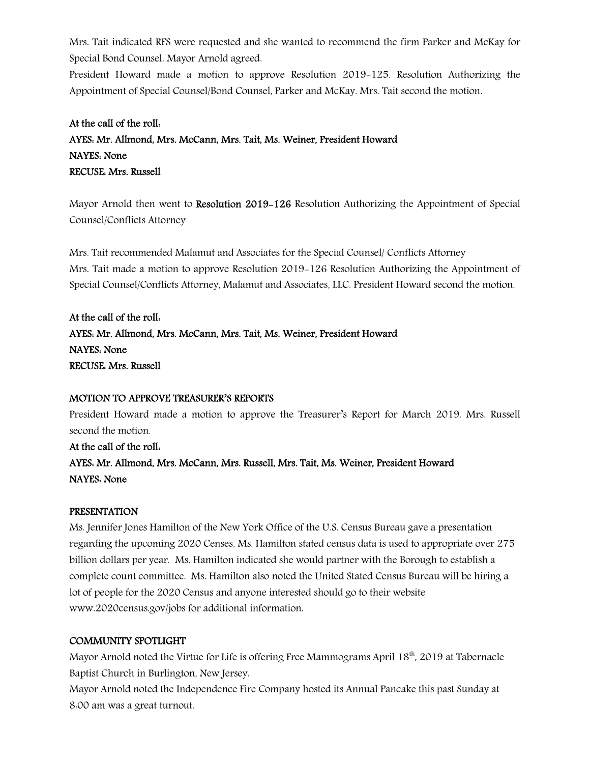Mrs. Tait indicated RFS were requested and she wanted to recommend the firm Parker and McKay for Special Bond Counsel. Mayor Arnold agreed.

President Howard made a motion to approve Resolution 2019-125. Resolution Authorizing the Appointment of Special Counsel/Bond Counsel, Parker and McKay. Mrs. Tait second the motion.

## At the call of the roll: AYES: Mr. Allmond, Mrs. McCann, Mrs. Tait, Ms. Weiner, President Howard NAYES: None RECUSE: Mrs. Russell

Mayor Arnold then went to Resolution 2019-126 Resolution Authorizing the Appointment of Special Counsel/Conflicts Attorney

Mrs. Tait recommended Malamut and Associates for the Special Counsel/ Conflicts Attorney Mrs. Tait made a motion to approve Resolution 2019-126 Resolution Authorizing the Appointment of Special Counsel/Conflicts Attorney, Malamut and Associates, LLC. President Howard second the motion.

At the call of the roll: AYES: Mr. Allmond, Mrs. McCann, Mrs. Tait, Ms. Weiner, President Howard NAYES: None RECUSE: Mrs. Russell

## MOTION TO APPROVE TREASURER'S REPORTS

President Howard made a motion to approve the Treasurer's Report for March 2019. Mrs. Russell second the motion.

At the call of the roll: AYES: Mr. Allmond, Mrs. McCann, Mrs. Russell, Mrs. Tait, Ms. Weiner, President Howard NAYES: None

## PRESENTATION

Ms. Jennifer Jones Hamilton of the New York Office of the U.S. Census Bureau gave a presentation regarding the upcoming 2020 Censes, Ms. Hamilton stated census data is used to appropriate over 275 billion dollars per year. Ms. Hamilton indicated she would partner with the Borough to establish a complete count committee. Ms. Hamilton also noted the United Stated Census Bureau will be hiring a lot of people for the 2020 Census and anyone interested should go to their website www.2020census.gov/jobs for additional information.

## COMMUNITY SPOTLIGHT

Mayor Arnold noted the Virtue for Life is offering Free Mammograms April 18<sup>th</sup>, 2019 at Tabernacle Baptist Church in Burlington, New Jersey.

Mayor Arnold noted the Independence Fire Company hosted its Annual Pancake this past Sunday at 8:00 am was a great turnout.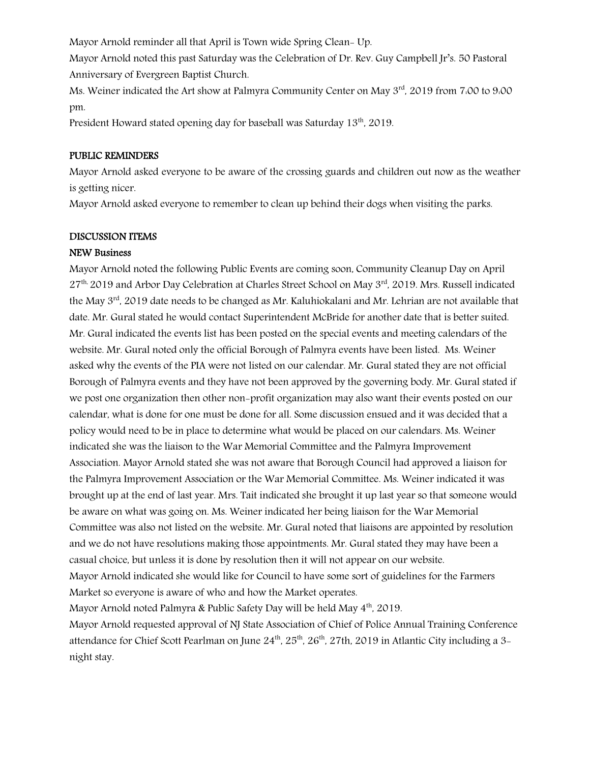Mayor Arnold reminder all that April is Town wide Spring Clean- Up.

Mayor Arnold noted this past Saturday was the Celebration of Dr. Rev. Guy Campbell Jr's. 50 Pastoral Anniversary of Evergreen Baptist Church.

Ms. Weiner indicated the Art show at Palmyra Community Center on May 3<sup>rd</sup>, 2019 from 7:00 to 9:00 pm.

President Howard stated opening day for baseball was Saturday 13<sup>th</sup>, 2019.

### PUBLIC REMINDERS

Mayor Arnold asked everyone to be aware of the crossing guards and children out now as the weather is getting nicer.

Mayor Arnold asked everyone to remember to clean up behind their dogs when visiting the parks.

### DISCUSSION ITEMS

### NEW Business

Mayor Arnold noted the following Public Events are coming soon, Community Cleanup Day on April  $27<sup>th</sup>$ , 2019 and Arbor Day Celebration at Charles Street School on May  $3<sup>rd</sup>$ , 2019. Mrs. Russell indicated the May 3<sup>rd</sup>, 2019 date needs to be changed as Mr. Kaluhiokalani and Mr. Lehrian are not available that date. Mr. Gural stated he would contact Superintendent McBride for another date that is better suited. Mr. Gural indicated the events list has been posted on the special events and meeting calendars of the website. Mr. Gural noted only the official Borough of Palmyra events have been listed. Ms. Weiner asked why the events of the PIA were not listed on our calendar. Mr. Gural stated they are not official Borough of Palmyra events and they have not been approved by the governing body. Mr. Gural stated if we post one organization then other non-profit organization may also want their events posted on our calendar, what is done for one must be done for all. Some discussion ensued and it was decided that a policy would need to be in place to determine what would be placed on our calendars. Ms. Weiner indicated she was the liaison to the War Memorial Committee and the Palmyra Improvement Association. Mayor Arnold stated she was not aware that Borough Council had approved a liaison for the Palmyra Improvement Association or the War Memorial Committee. Ms. Weiner indicated it was brought up at the end of last year. Mrs. Tait indicated she brought it up last year so that someone would be aware on what was going on. Ms. Weiner indicated her being liaison for the War Memorial Committee was also not listed on the website. Mr. Gural noted that liaisons are appointed by resolution and we do not have resolutions making those appointments. Mr. Gural stated they may have been a casual choice, but unless it is done by resolution then it will not appear on our website. Mayor Arnold indicated she would like for Council to have some sort of guidelines for the Farmers Market so everyone is aware of who and how the Market operates.

Mayor Arnold noted Palmyra & Public Safety Day will be held May  $4<sup>th</sup>$ , 2019.

Mayor Arnold requested approval of NJ State Association of Chief of Police Annual Training Conference attendance for Chief Scott Pearlman on June  $24^{\text{th}}$ ,  $25^{\text{th}}$ ,  $26^{\text{th}}$ ,  $27\text{th}$ ,  $2019$  in Atlantic City including a 3night stay.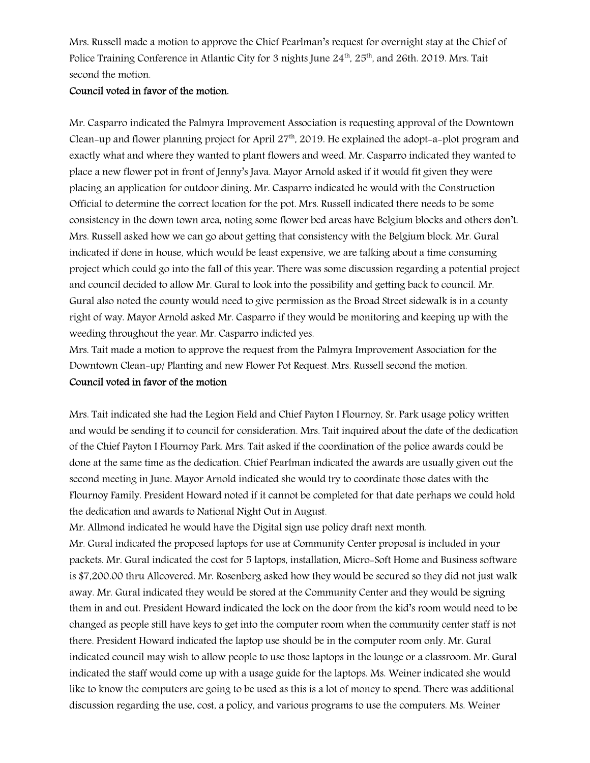Mrs. Russell made a motion to approve the Chief Pearlman's request for overnight stay at the Chief of Police Training Conference in Atlantic City for 3 nights June  $24<sup>th</sup>$ ,  $25<sup>th</sup>$ , and  $26th$ . 2019. Mrs. Tait second the motion.

### Council voted in favor of the motion.

Mr. Casparro indicated the Palmyra Improvement Association is requesting approval of the Downtown Clean-up and flower planning project for April  $27<sup>th</sup>$ , 2019. He explained the adopt-a-plot program and exactly what and where they wanted to plant flowers and weed. Mr. Casparro indicated they wanted to place a new flower pot in front of Jenny's Java. Mayor Arnold asked if it would fit given they were placing an application for outdoor dining. Mr. Casparro indicated he would with the Construction Official to determine the correct location for the pot. Mrs. Russell indicated there needs to be some consistency in the down town area, noting some flower bed areas have Belgium blocks and others don't. Mrs. Russell asked how we can go about getting that consistency with the Belgium block. Mr. Gural indicated if done in house, which would be least expensive, we are talking about a time consuming project which could go into the fall of this year. There was some discussion regarding a potential project and council decided to allow Mr. Gural to look into the possibility and getting back to council. Mr. Gural also noted the county would need to give permission as the Broad Street sidewalk is in a county right of way. Mayor Arnold asked Mr. Casparro if they would be monitoring and keeping up with the weeding throughout the year. Mr. Casparro indicted yes.

Mrs. Tait made a motion to approve the request from the Palmyra Improvement Association for the Downtown Clean-up/ Planting and new Flower Pot Request. Mrs. Russell second the motion.

## Council voted in favor of the motion

Mrs. Tait indicated she had the Legion Field and Chief Payton I Flournoy, Sr. Park usage policy written and would be sending it to council for consideration. Mrs. Tait inquired about the date of the dedication of the Chief Payton I Flournoy Park. Mrs. Tait asked if the coordination of the police awards could be done at the same time as the dedication. Chief Pearlman indicated the awards are usually given out the second meeting in June. Mayor Arnold indicated she would try to coordinate those dates with the Flournoy Family. President Howard noted if it cannot be completed for that date perhaps we could hold the dedication and awards to National Night Out in August.

Mr. Allmond indicated he would have the Digital sign use policy draft next month.

Mr. Gural indicated the proposed laptops for use at Community Center proposal is included in your packets. Mr. Gural indicated the cost for 5 laptops, installation, Micro-Soft Home and Business software is \$7,200.00 thru Allcovered. Mr. Rosenberg asked how they would be secured so they did not just walk away. Mr. Gural indicated they would be stored at the Community Center and they would be signing them in and out. President Howard indicated the lock on the door from the kid's room would need to be changed as people still have keys to get into the computer room when the community center staff is not there. President Howard indicated the laptop use should be in the computer room only. Mr. Gural indicated council may wish to allow people to use those laptops in the lounge or a classroom. Mr. Gural indicated the staff would come up with a usage guide for the laptops. Ms. Weiner indicated she would like to know the computers are going to be used as this is a lot of money to spend. There was additional discussion regarding the use, cost, a policy, and various programs to use the computers. Ms. Weiner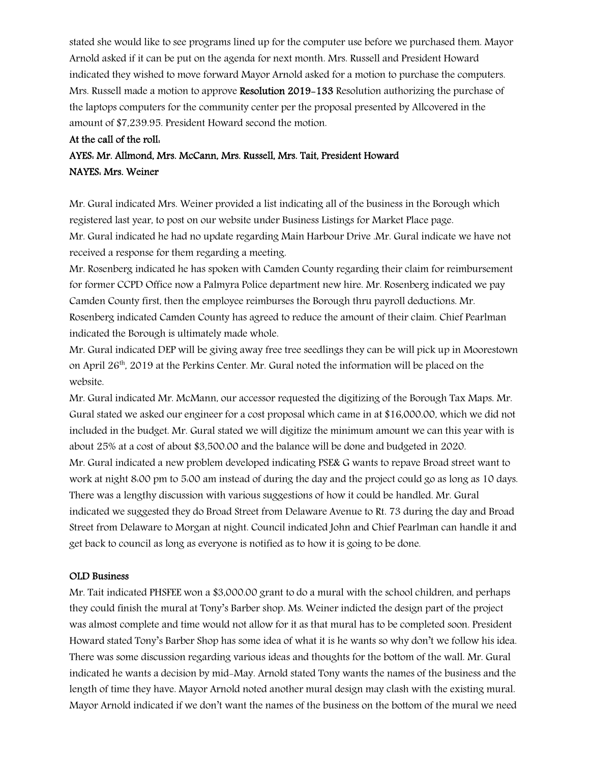stated she would like to see programs lined up for the computer use before we purchased them. Mayor Arnold asked if it can be put on the agenda for next month. Mrs. Russell and President Howard indicated they wished to move forward Mayor Arnold asked for a motion to purchase the computers. Mrs. Russell made a motion to approve Resolution 2019–133 Resolution authorizing the purchase of the laptops computers for the community center per the proposal presented by Allcovered in the amount of \$7,239.95. President Howard second the motion.

#### At the call of the roll:

## AYES: Mr. Allmond, Mrs. McCann, Mrs. Russell, Mrs. Tait, President Howard NAYES: Mrs. Weiner

Mr. Gural indicated Mrs. Weiner provided a list indicating all of the business in the Borough which registered last year, to post on our website under Business Listings for Market Place page.

Mr. Gural indicated he had no update regarding Main Harbour Drive .Mr. Gural indicate we have not received a response for them regarding a meeting.

Mr. Rosenberg indicated he has spoken with Camden County regarding their claim for reimbursement for former CCPD Office now a Palmyra Police department new hire. Mr. Rosenberg indicated we pay Camden County first, then the employee reimburses the Borough thru payroll deductions. Mr. Rosenberg indicated Camden County has agreed to reduce the amount of their claim. Chief Pearlman indicated the Borough is ultimately made whole.

Mr. Gural indicated DEP will be giving away free tree seedlings they can be will pick up in Moorestown on April 26<sup>th</sup>, 2019 at the Perkins Center. Mr. Gural noted the information will be placed on the website.

Mr. Gural indicated Mr. McMann, our accessor requested the digitizing of the Borough Tax Maps. Mr. Gural stated we asked our engineer for a cost proposal which came in at \$16,000.00, which we did not included in the budget. Mr. Gural stated we will digitize the minimum amount we can this year with is about 25% at a cost of about \$3,500.00 and the balance will be done and budgeted in 2020. Mr. Gural indicated a new problem developed indicating PSE& G wants to repave Broad street want to work at night 8:00 pm to 5:00 am instead of during the day and the project could go as long as 10 days. There was a lengthy discussion with various suggestions of how it could be handled. Mr. Gural indicated we suggested they do Broad Street from Delaware Avenue to Rt. 73 during the day and Broad Street from Delaware to Morgan at night. Council indicated John and Chief Pearlman can handle it and get back to council as long as everyone is notified as to how it is going to be done.

### OLD Business

Mr. Tait indicated PHSFEE won a \$3,000.00 grant to do a mural with the school children, and perhaps they could finish the mural at Tony's Barber shop. Ms. Weiner indicted the design part of the project was almost complete and time would not allow for it as that mural has to be completed soon. President Howard stated Tony's Barber Shop has some idea of what it is he wants so why don't we follow his idea. There was some discussion regarding various ideas and thoughts for the bottom of the wall. Mr. Gural indicated he wants a decision by mid-May. Arnold stated Tony wants the names of the business and the length of time they have. Mayor Arnold noted another mural design may clash with the existing mural. Mayor Arnold indicated if we don't want the names of the business on the bottom of the mural we need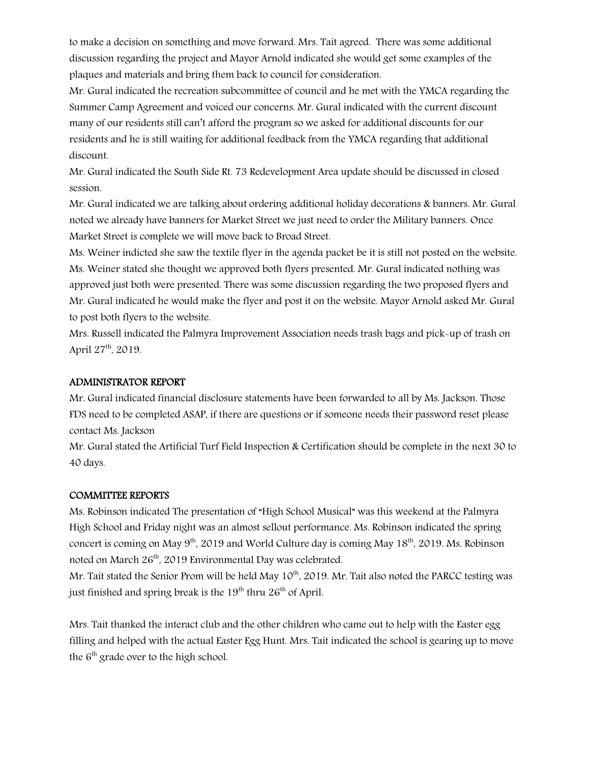to make a decision on something and move forward. Mrs. Tait agreed. There was some additional discussion regarding the project and Mayor Arnold indicated she would get some examples of the plaques and materials and bring them back to council for consideration.

Mr. Gural indicated the recreation subcommittee of council and he met with the YMCA regarding the Summer Camp Agreement and voiced our concerns. Mr. Gural indicated with the current discount many of our residents still can't afford the program so we asked for additional discounts for our residents and he is still waiting for additional feedback from the YMCA regarding that additional discount.

Mr. Gural indicated the South Side Rt. 73 Redevelopment Area update should be discussed in closed session.

Mr. Gural indicated we are talking about ordering additional holiday decorations & banners. Mr. Gural noted we already have banners for Market Street we just need to order the Military banners. Once Market Street is complete we will move back to Broad Street.

Ms. Weiner indicted she saw the textile flyer in the agenda packet be it is still not posted on the website. Ms. Weiner stated she thought we approved both flyers presented. Mr. Gural indicated nothing was approved just both were presented. There was some discussion regarding the two proposed flyers and Mr. Gural indicated he would make the flyer and post it on the website. Mayor Arnold asked Mr. Gural to post both flyers to the website.

Mrs. Russell indicated the Palmyra Improvement Association needs trash bags and pick-up of trash on April  $27^{th}$ , 2019.

### ADMINISTRATOR REPORT

Mr. Gural indicated financial disclosure statements have been forwarded to all by Ms. Jackson. Those FDS need to be completed ASAP, if there are questions or if someone needs their password reset please contact Ms. Jackson

Mr. Gural stated the Artificial Turf Field Inspection & Certification should be complete in the next 30 to 40 days.

### COMMITTEE REPORTS

Ms. Robinson indicated The presentation of "High School Musical" was this weekend at the Palmyra High School and Friday night was an almost sellout performance. Ms. Robinson indicated the spring concert is coming on May  $9<sup>th</sup>$ , 2019 and World Culture day is coming May 18<sup>th</sup>, 2019. Ms. Robinson noted on March 26<sup>th</sup>, 2019 Environmental Day was celebrated.

Mr. Tait stated the Senior Prom will be held May  $10^{th}$ , 2019. Mr. Tait also noted the PARCC testing was just finished and spring break is the  $19<sup>th</sup>$  thru  $26<sup>th</sup>$  of April.

Mrs. Tait thanked the interact club and the other children who came out to help with the Easter egg filling and helped with the actual Easter Egg Hunt. Mrs. Tait indicated the school is gearing up to move the  $6<sup>th</sup>$  grade over to the high school.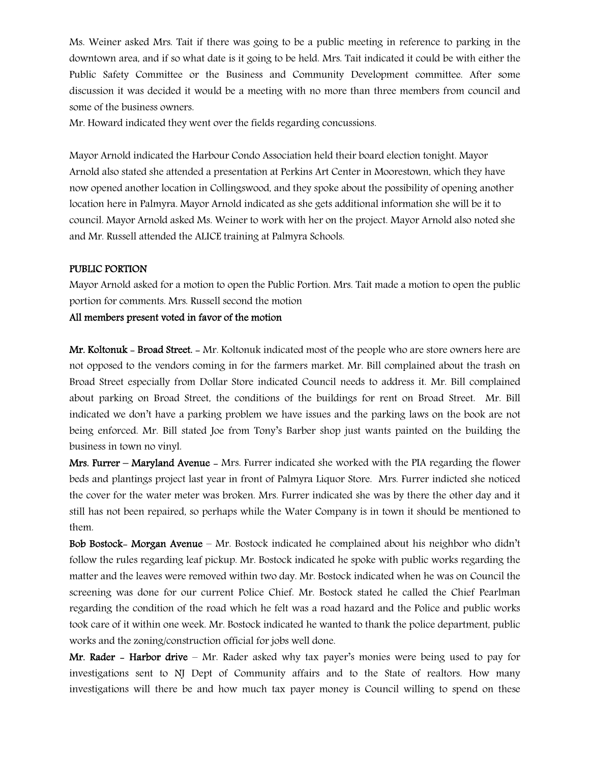Ms. Weiner asked Mrs. Tait if there was going to be a public meeting in reference to parking in the downtown area, and if so what date is it going to be held. Mrs. Tait indicated it could be with either the Public Safety Committee or the Business and Community Development committee. After some discussion it was decided it would be a meeting with no more than three members from council and some of the business owners.

Mr. Howard indicated they went over the fields regarding concussions.

Mayor Arnold indicated the Harbour Condo Association held their board election tonight. Mayor Arnold also stated she attended a presentation at Perkins Art Center in Moorestown, which they have now opened another location in Collingswood, and they spoke about the possibility of opening another location here in Palmyra. Mayor Arnold indicated as she gets additional information she will be it to council. Mayor Arnold asked Ms. Weiner to work with her on the project. Mayor Arnold also noted she and Mr. Russell attended the ALICE training at Palmyra Schools.

#### PUBLIC PORTION

Mayor Arnold asked for a motion to open the Public Portion. Mrs. Tait made a motion to open the public portion for comments. Mrs. Russell second the motion

### All members present voted in favor of the motion

Mr. Koltonuk - Broad Street. - Mr. Koltonuk indicated most of the people who are store owners here are not opposed to the vendors coming in for the farmers market. Mr. Bill complained about the trash on Broad Street especially from Dollar Store indicated Council needs to address it. Mr. Bill complained about parking on Broad Street, the conditions of the buildings for rent on Broad Street. Mr. Bill indicated we don't have a parking problem we have issues and the parking laws on the book are not being enforced. Mr. Bill stated Joe from Tony's Barber shop just wants painted on the building the business in town no vinyl.

Mrs. Furrer – Maryland Avenue – Mrs. Furrer indicated she worked with the PIA regarding the flower beds and plantings project last year in front of Palmyra Liquor Store. Mrs. Furrer indicted she noticed the cover for the water meter was broken. Mrs. Furrer indicated she was by there the other day and it still has not been repaired, so perhaps while the Water Company is in town it should be mentioned to them.

Bob Bostock- Morgan Avenue – Mr. Bostock indicated he complained about his neighbor who didn't follow the rules regarding leaf pickup. Mr. Bostock indicated he spoke with public works regarding the matter and the leaves were removed within two day. Mr. Bostock indicated when he was on Council the screening was done for our current Police Chief. Mr. Bostock stated he called the Chief Pearlman regarding the condition of the road which he felt was a road hazard and the Police and public works took care of it within one week. Mr. Bostock indicated he wanted to thank the police department, public works and the zoning/construction official for jobs well done.

Mr. Rader - Harbor drive – Mr. Rader asked why tax payer's monies were being used to pay for investigations sent to NJ Dept of Community affairs and to the State of realtors. How many investigations will there be and how much tax payer money is Council willing to spend on these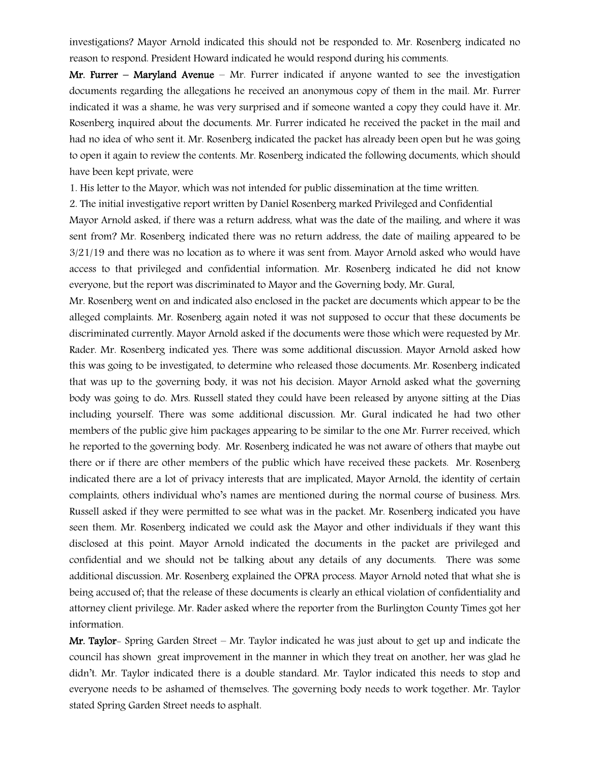investigations? Mayor Arnold indicated this should not be responded to. Mr. Rosenberg indicated no reason to respond. President Howard indicated he would respond during his comments.

Mr. Furrer – Maryland Avenue – Mr. Furrer indicated if anyone wanted to see the investigation documents regarding the allegations he received an anonymous copy of them in the mail. Mr. Furrer indicated it was a shame, he was very surprised and if someone wanted a copy they could have it. Mr. Rosenberg inquired about the documents. Mr. Furrer indicated he received the packet in the mail and had no idea of who sent it. Mr. Rosenberg indicated the packet has already been open but he was going to open it again to review the contents. Mr. Rosenberg indicated the following documents, which should have been kept private, were

1. His letter to the Mayor, which was not intended for public dissemination at the time written.

2. The initial investigative report written by Daniel Rosenberg marked Privileged and Confidential

Mayor Arnold asked, if there was a return address, what was the date of the mailing, and where it was sent from? Mr. Rosenberg indicated there was no return address, the date of mailing appeared to be 3/21/19 and there was no location as to where it was sent from. Mayor Arnold asked who would have access to that privileged and confidential information. Mr. Rosenberg indicated he did not know everyone, but the report was discriminated to Mayor and the Governing body, Mr. Gural,

Mr. Rosenberg went on and indicated also enclosed in the packet are documents which appear to be the alleged complaints. Mr. Rosenberg again noted it was not supposed to occur that these documents be discriminated currently. Mayor Arnold asked if the documents were those which were requested by Mr. Rader. Mr. Rosenberg indicated yes. There was some additional discussion. Mayor Arnold asked how this was going to be investigated, to determine who released those documents. Mr. Rosenberg indicated that was up to the governing body, it was not his decision. Mayor Arnold asked what the governing body was going to do. Mrs. Russell stated they could have been released by anyone sitting at the Dias including yourself. There was some additional discussion. Mr. Gural indicated he had two other members of the public give him packages appearing to be similar to the one Mr. Furrer received, which he reported to the governing body. Mr. Rosenberg indicated he was not aware of others that maybe out there or if there are other members of the public which have received these packets. Mr. Rosenberg indicated there are a lot of privacy interests that are implicated, Mayor Arnold, the identity of certain complaints, others individual who's names are mentioned during the normal course of business. Mrs. Russell asked if they were permitted to see what was in the packet. Mr. Rosenberg indicated you have seen them. Mr. Rosenberg indicated we could ask the Mayor and other individuals if they want this disclosed at this point. Mayor Arnold indicated the documents in the packet are privileged and confidential and we should not be talking about any details of any documents. There was some additional discussion. Mr. Rosenberg explained the OPRA process. Mayor Arnold noted that what she is being accused of; that the release of these documents is clearly an ethical violation of confidentiality and attorney client privilege. Mr. Rader asked where the reporter from the Burlington County Times got her information.

**Mr. Taylor**- Spring Garden Street – Mr. Taylor indicated he was just about to get up and indicate the council has shown great improvement in the manner in which they treat on another, her was glad he didn't. Mr. Taylor indicated there is a double standard. Mr. Taylor indicated this needs to stop and everyone needs to be ashamed of themselves. The governing body needs to work together. Mr. Taylor stated Spring Garden Street needs to asphalt.